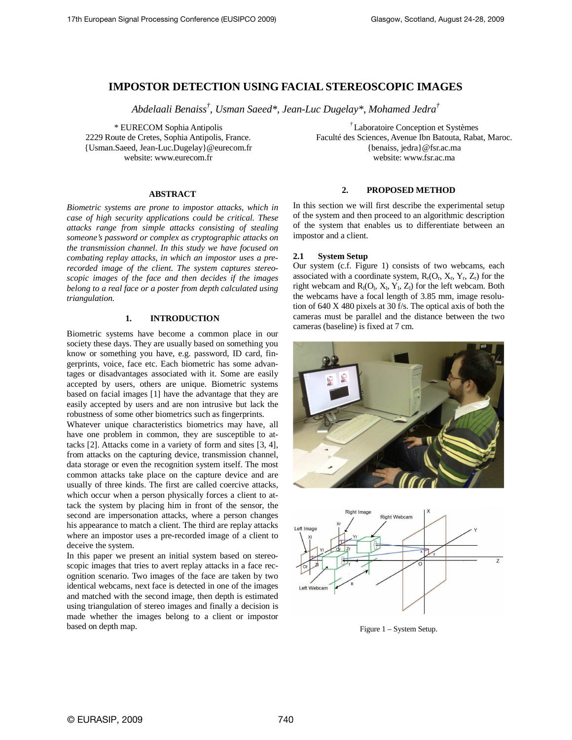# **IMPOSTOR DETECTION USING FACIAL STEREOSCOPIC IMAGES**

*Abdelaali Benaiss† , Usman Saeed\*, Jean-Luc Dugelay\*, Mohamed Jedra†*

\* EURECOM Sophia Antipolis 2229 Route de Cretes, Sophia Antipolis, France. {Usman.Saeed, Jean-Luc.Dugelay}@eurecom.fr website: www.eurecom.fr

#### **ABSTRACT**

*Biometric systems are prone to impostor attacks, which in case of high security applications could be critical. These attacks range from simple attacks consisting of stealing someone's password or complex as cryptographic attacks on the transmission channel. In this study we have focused on combating replay attacks, in which an impostor uses a prerecorded image of the client. The system captures stereoscopic images of the face and then decides if the images belong to a real face or a poster from depth calculated using triangulation.* 

# **1. INTRODUCTION**

Biometric systems have become a common place in our society these days. They are usually based on something you know or something you have, e.g. password, ID card, fingerprints, voice, face etc. Each biometric has some advantages or disadvantages associated with it. Some are easily accepted by users, others are unique. Biometric systems based on facial images [1] have the advantage that they are easily accepted by users and are non intrusive but lack the robustness of some other biometrics such as fingerprints.

Whatever unique characteristics biometrics may have, all have one problem in common, they are susceptible to attacks [2]. Attacks come in a variety of form and sites [3, 4], from attacks on the capturing device, transmission channel, data storage or even the recognition system itself. The most common attacks take place on the capture device and are usually of three kinds. The first are called coercive attacks, which occur when a person physically forces a client to attack the system by placing him in front of the sensor, the second are impersonation attacks, where a person changes his appearance to match a client. The third are replay attacks where an impostor uses a pre-recorded image of a client to deceive the system.

In this paper we present an initial system based on stereoscopic images that tries to avert replay attacks in a face recognition scenario. Two images of the face are taken by two identical webcams, next face is detected in one of the images and matched with the second image, then depth is estimated using triangulation of stereo images and finally a decision is made whether the images belong to a client or impostor based on depth map.

*†* Laboratoire Conception et Systèmes Faculté des Sciences, Avenue Ibn Batouta, Rabat, Maroc. {benaiss, jedra}@fsr.ac.ma website: www.fsr.ac.ma

# **2. PROPOSED METHOD**

In this section we will first describe the experimental setup of the system and then proceed to an algorithmic description of the system that enables us to differentiate between an impostor and a client.

## **2.1 System Setup**

Our system (c.f. Figure 1) consists of two webcams, each associated with a coordinate system,  $R_r(O_r, X_r, Y_r, Z_r)$  for the right webcam and  $R_1(O_1, X_1, Y_1, Z_1)$  for the left webcam. Both the webcams have a focal length of 3.85 mm, image resolution of 640 X 480 pixels at 30 f/s. The optical axis of both the cameras must be parallel and the distance between the two cameras (baseline) is fixed at 7 cm.





Figure 1 – System Setup.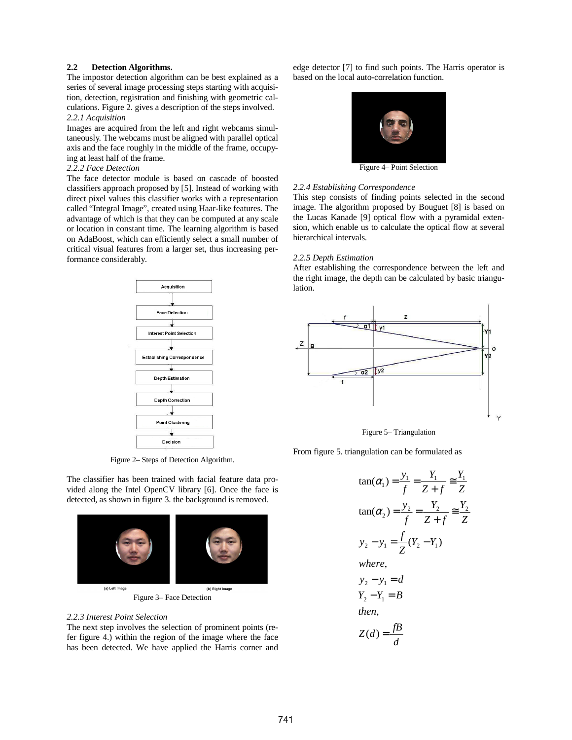## **2.2 Detection Algorithms.**

The impostor detection algorithm can be best explained as a series of several image processing steps starting with acquisition, detection, registration and finishing with geometric calculations. Figure 2. gives a description of the steps involved. *2.2.1 Acquisition* 

Images are acquired from the left and right webcams simultaneously. The webcams must be aligned with parallel optical axis and the face roughly in the middle of the frame, occupying at least half of the frame.

## *2.2.2 Face Detection*

The face detector module is based on cascade of boosted classifiers approach proposed by [5]. Instead of working with direct pixel values this classifier works with a representation called "Integral Image", created using Haar-like features. The advantage of which is that they can be computed at any scale or location in constant time. The learning algorithm is based on AdaBoost, which can efficiently select a small number of critical visual features from a larger set, thus increasing performance considerably.



Figure 2– Steps of Detection Algorithm.

The classifier has been trained with facial feature data provided along the Intel OpenCV library [6]. Once the face is detected, as shown in figure 3. the background is removed.



Figure 3– Face Detection

## *2.2.3 Interest Point Selection*

The next step involves the selection of prominent points (refer figure 4.) within the region of the image where the face has been detected. We have applied the Harris corner and edge detector [7] to find such points. The Harris operator is based on the local auto-correlation function.



Figure 4– Point Selection

#### *2.2.4 Establishing Correspondence*

This step consists of finding points selected in the second image. The algorithm proposed by Bouguet [8] is based on the Lucas Kanade [9] optical flow with a pyramidal extension, which enable us to calculate the optical flow at several hierarchical intervals.

## *2.2.5 Depth Estimation*

After establishing the correspondence between the left and the right image, the depth can be calculated by basic triangulation.



Figure 5– Triangulation

From figure 5. triangulation can be formulated as

$$
\tan(\alpha_1) = \frac{y_1}{f} = \frac{Y_1}{Z + f} \approx \frac{Y_1}{Z}
$$
  
\n
$$
\tan(\alpha_2) = \frac{y_2}{f} = \frac{Y_2}{Z + f} \approx \frac{Y_2}{Z}
$$
  
\n
$$
y_2 - y_1 = \frac{f}{Z}(Y_2 - Y_1)
$$
  
\nwhere,  
\n
$$
y_2 - y_1 = d
$$
  
\n
$$
Y_2 - Y_1 = B
$$
  
\nthen,  
\n
$$
Z(d) = \frac{fB}{d}
$$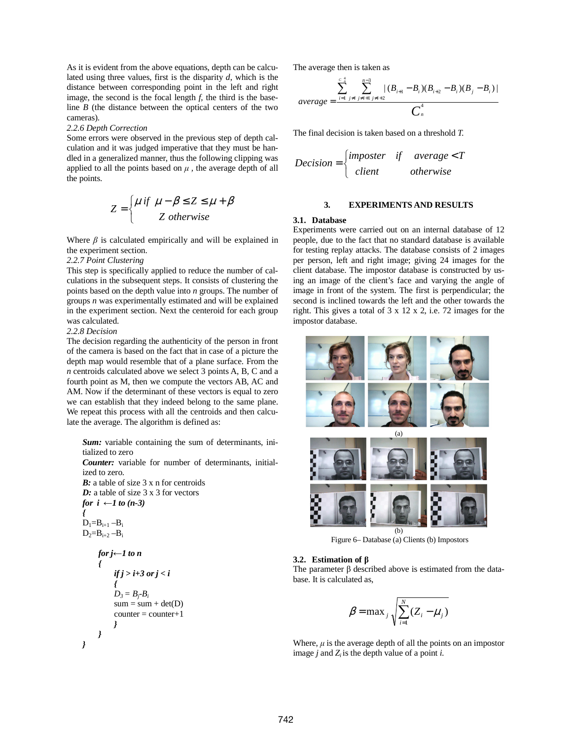As it is evident from the above equations, depth can be calculated using three values, first is the disparity *d*, which is the distance between corresponding point in the left and right image, the second is the focal length *f,* the third is the baseline  $B$  (the distance between the optical centers of the two cameras).

#### *2.2.6 Depth Correction*

Some errors were observed in the previous step of depth calculation and it was judged imperative that they must be handled in a generalized manner, thus the following clipping was applied to all the points based on  $\mu$ , the average depth of all the points.

$$
Z = \begin{cases} \mu & \text{if } \mu - \beta \le Z \le \mu + \beta \\ Z & \text{otherwise} \end{cases}
$$

Where  $\beta$  is calculated empirically and will be explained in the experiment section.

## *2.2.7 Point Clustering*

This step is specifically applied to reduce the number of calculations in the subsequent steps. It consists of clustering the points based on the depth value into *n* groups. The number of groups *n* was experimentally estimated and will be explained in the experiment section. Next the centeroid for each group was calculated.

# *2.2.8 Decision*

The decision regarding the authenticity of the person in front of the camera is based on the fact that in case of a picture the depth map would resemble that of a plane surface. From the *n* centroids calculated above we select 3 points A, B, C and a fourth point as M, then we compute the vectors AB, AC and AM. Now if the determinant of these vectors is equal to zero we can establish that they indeed belong to the same plane. We repeat this process with all the centroids and then calculate the average. The algorithm is defined as:

*Sum:* variable containing the sum of determinants, initialized to zero *Counter:* variable for number of determinants, initialized to zero. *B*: a table of size 3 x n for centroids *D:* a table of size 3 x 3 for vectors *for*  $i \leftarrow 1$  *to* (*n*-3) *{*   $D_1 = B_{i+1} - B_i$  $D_2 = B_{i+2} - B_i$ *for j*←*1 to n { if j > i+3 or j < i {*   $D_3 = B_i - B_i$  $sum = sum + det(D)$  $counter = counter+1$ 

# *} }*

*}* 

The average then is taken as

$$
average = \frac{\sum_{i=1}^{c_{i}^{4}} \sum_{j \neq i}^{n-3} |(B_{i+1} - B_{i})(B_{i+2} - B_{i})(B_{j} - B_{i})|}{C_{n}^{4}}
$$

The final decision is taken based on a threshold *T.* 

$$
Decision = \begin{cases} \text{imposer} & \text{average} < T \\ \text{client} & \text{otherwise} \end{cases}
$$

## **3. EXPERIMENTS AND RESULTS**

## **3.1. Database**

Experiments were carried out on an internal database of 12 people, due to the fact that no standard database is available for testing replay attacks. The database consists of 2 images per person, left and right image; giving 24 images for the client database. The impostor database is constructed by using an image of the client's face and varying the angle of image in front of the system. The first is perpendicular; the second is inclined towards the left and the other towards the right. This gives a total of 3 x 12 x 2, i.e. 72 images for the impostor database.



Figure 6– Database (a) Clients (b) Impostors

#### **3.2. Estimation of** β

The parameter  $\beta$  described above is estimated from the database. It is calculated as,

$$
\beta = \max_{j} \sqrt{\sum_{i=1}^{N} (Z_i - \mu_j)}
$$

Where,  $\mu$  is the average depth of all the points on an impostor image  $j$  and  $Z_i$  is the depth value of a point  $i$ .